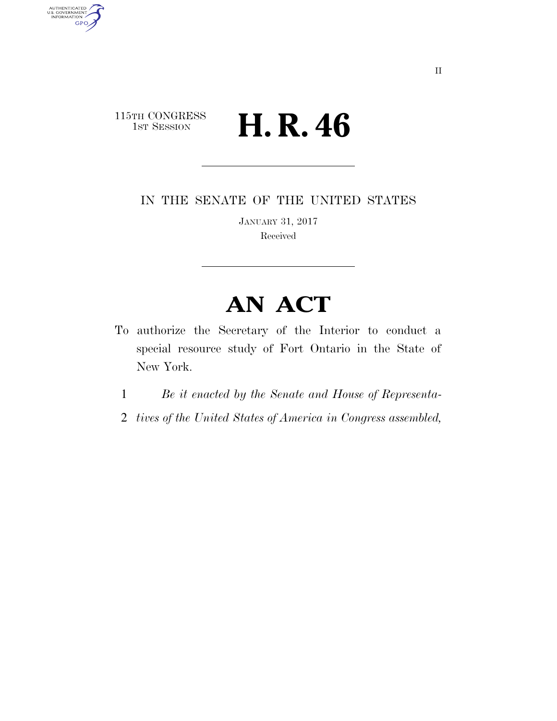## 115TH CONGRESS<br>1st Session H. R. 46

AUTHENTICATED<br>U.S. GOVERNMENT<br>INFORMATION

**GPO** 

IN THE SENATE OF THE UNITED STATES

JANUARY 31, 2017 Received

## **AN ACT**

- To authorize the Secretary of the Interior to conduct a special resource study of Fort Ontario in the State of New York.
	- 1 *Be it enacted by the Senate and House of Representa-*
	- 2 *tives of the United States of America in Congress assembled,*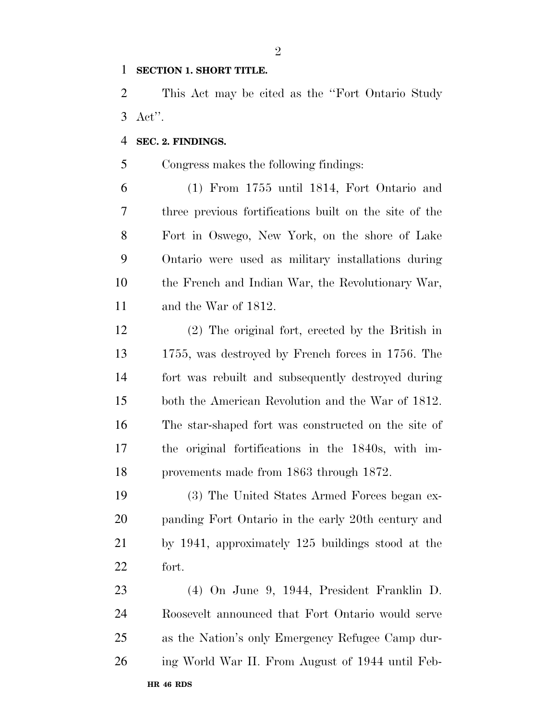## **SECTION 1. SHORT TITLE.**

 This Act may be cited as the ''Fort Ontario Study Act''.

## **SEC. 2. FINDINGS.**

Congress makes the following findings:

 (1) From 1755 until 1814, Fort Ontario and three previous fortifications built on the site of the Fort in Oswego, New York, on the shore of Lake Ontario were used as military installations during the French and Indian War, the Revolutionary War, and the War of 1812.

 (2) The original fort, erected by the British in 1755, was destroyed by French forces in 1756. The fort was rebuilt and subsequently destroyed during both the American Revolution and the War of 1812. The star-shaped fort was constructed on the site of the original fortifications in the 1840s, with im-provements made from 1863 through 1872.

 (3) The United States Armed Forces began ex- panding Fort Ontario in the early 20th century and by 1941, approximately 125 buildings stood at the fort.

**HR 46 RDS** (4) On June 9, 1944, President Franklin D. Roosevelt announced that Fort Ontario would serve as the Nation's only Emergency Refugee Camp dur-ing World War II. From August of 1944 until Feb-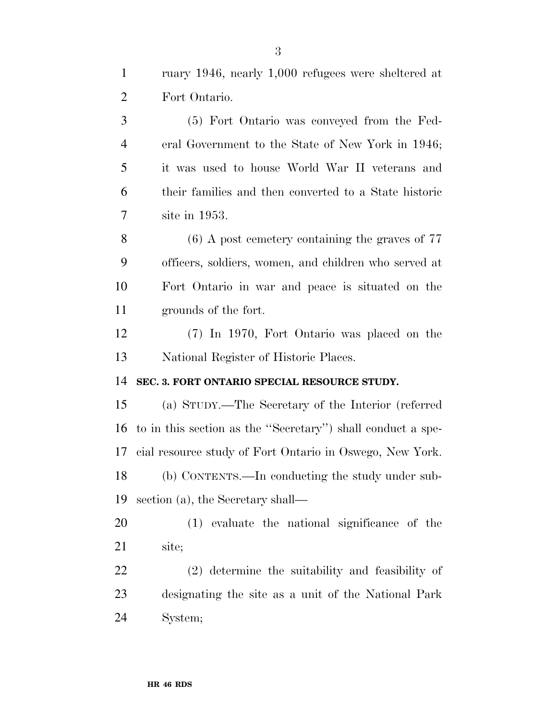Fort Ontario. (5) Fort Ontario was conveyed from the Fed- eral Government to the State of New York in 1946; it was used to house World War II veterans and their families and then converted to a State historic site in 1953. (6) A post cemetery containing the graves of 77 officers, soldiers, women, and children who served at Fort Ontario in war and peace is situated on the grounds of the fort. (7) In 1970, Fort Ontario was placed on the National Register of Historic Places. **SEC. 3. FORT ONTARIO SPECIAL RESOURCE STUDY.**  (a) STUDY.—The Secretary of the Interior (referred to in this section as the ''Secretary'') shall conduct a spe- cial resource study of Fort Ontario in Oswego, New York. (b) CONTENTS.—In conducting the study under sub- section (a), the Secretary shall— (1) evaluate the national significance of the site; (2) determine the suitability and feasibility of designating the site as a unit of the National Park System;

ruary 1946, nearly 1,000 refugees were sheltered at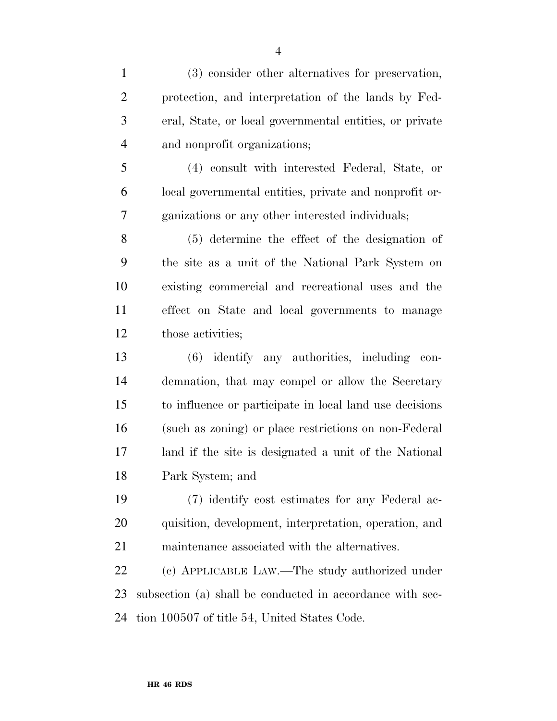(3) consider other alternatives for preservation, protection, and interpretation of the lands by Fed- eral, State, or local governmental entities, or private and nonprofit organizations;

 (4) consult with interested Federal, State, or local governmental entities, private and nonprofit or-ganizations or any other interested individuals;

 (5) determine the effect of the designation of the site as a unit of the National Park System on existing commercial and recreational uses and the effect on State and local governments to manage those activities;

 (6) identify any authorities, including con- demnation, that may compel or allow the Secretary to influence or participate in local land use decisions (such as zoning) or place restrictions on non-Federal land if the site is designated a unit of the National Park System; and

 (7) identify cost estimates for any Federal ac- quisition, development, interpretation, operation, and maintenance associated with the alternatives.

 (c) APPLICABLE LAW.—The study authorized under subsection (a) shall be conducted in accordance with sec-tion 100507 of title 54, United States Code.